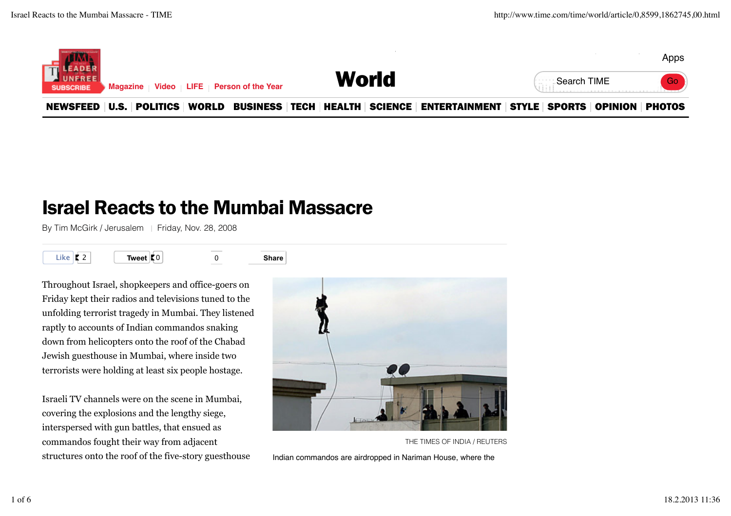

## Israel Reacts to the Mumbai Massacre

By Tim McGirk / Jerusalem | Friday, Nov. 28, 2008



Throughout Israel, shopkeepers and office-goers on Friday kept their radios and televisions tuned to the unfolding terrorist tragedy in Mumbai. They listened raptly to accounts of Indian commandos snaking down from helicopters onto the roof of the Chabad Jewish guesthouse in Mumbai, where inside two terrorists were holding at least six people hostage.

Israeli TV channels were on the scene in Mumbai, covering the explosions and the lengthy siege, interspersed with gun battles, that ensued as commandos fought their way from adjacent structures onto the roof of the five-story guesthouse



THE TIMES OF INDIA / REUTERS

Indian commandos are airdropped in Nariman House, where the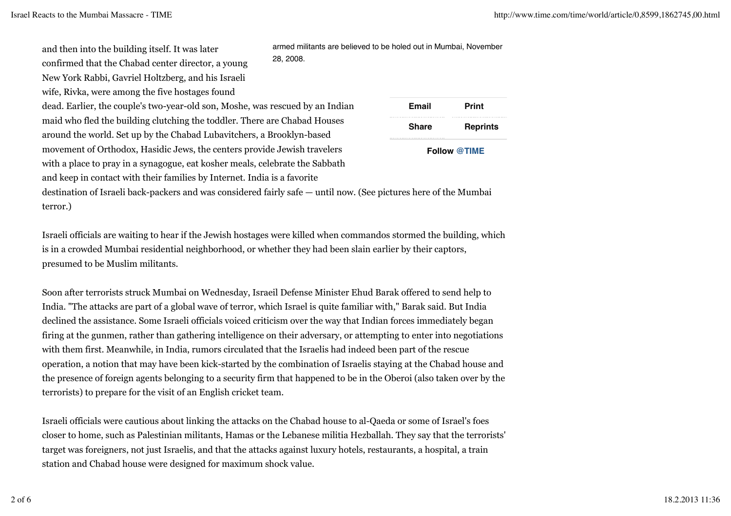and then into the building itself. It was later confirmed that the Chabad center director, a young New York Rabbi, Gavriel Holtzberg, and his Israeli wife, Rivka, were among the five hostages found

dead. Earlier, the couple's two-year-old son, Moshe, was rescued by an Indian maid who fled the building clutching the toddler. There are Chabad Houses around the world. Set up by the Chabad Lubavitchers, a Brooklyn-based movement of Orthodox, Hasidic Jews, the centers provide Jewish travelers with a place to pray in a synagogue, eat kosher meals, celebrate the Sabbath and keep in contact with their families by Internet. India is a favorite

| <b>Email</b> | Print               |
|--------------|---------------------|
| <b>Share</b> | <b>Reprints</b>     |
|              | <b>Follow @TIME</b> |

armed militants are believed to be holed out in Mumbai, November

destination of Israeli back-packers and was considered fairly safe — until now. (See pictures here of the Mumbai terror.)

28, 2008.

Israeli officials are waiting to hear if the Jewish hostages were killed when commandos stormed the building, which is in a crowded Mumbai residential neighborhood, or whether they had been slain earlier by their captors, presumed to be Muslim militants.

Soon after terrorists struck Mumbai on Wednesday, Israeil Defense Minister Ehud Barak offered to send help to India. "The attacks are part of a global wave of terror, which Israel is quite familiar with," Barak said. But India declined the assistance. Some Israeli officials voiced criticism over the way that Indian forces immediately began firing at the gunmen, rather than gathering intelligence on their adversary, or attempting to enter into negotiations with them first. Meanwhile, in India, rumors circulated that the Israelis had indeed been part of the rescue operation, a notion that may have been kick-started by the combination of Israelis staying at the Chabad house and the presence of foreign agents belonging to a security firm that happened to be in the Oberoi (also taken over by the terrorists) to prepare for the visit of an English cricket team.

Israeli officials were cautious about linking the attacks on the Chabad house to al-Qaeda or some of Israel's foes closer to home, such as Palestinian militants, Hamas or the Lebanese militia Hezballah. They say that the terrorists' target was foreigners, not just Israelis, and that the attacks against luxury hotels, restaurants, a hospital, a train station and Chabad house were designed for maximum shock value.